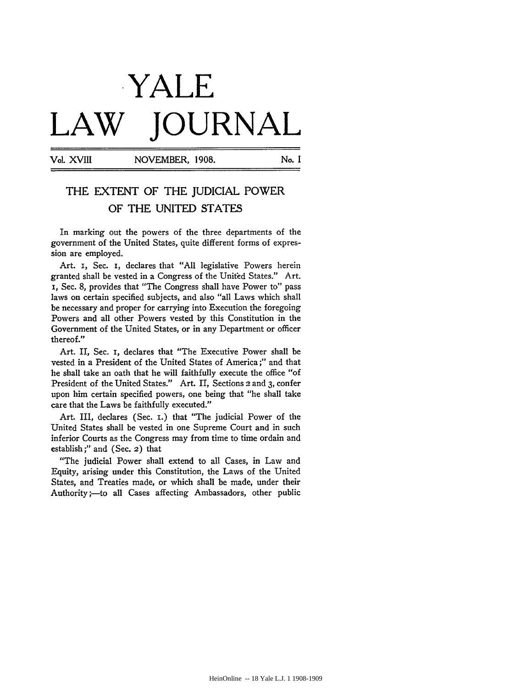## YALE LAW **JOURNAL**

Vol. XVIII NOVEMBER, 1908. No. I

## THE EXTENT OF THE JUDICIAL POWER OF THE UNITED STATES

In marking out the powers of the three departments of the government of the United States, quite different forms of expression are employed.

Art. i, Sec. i, declares that "All legislative Powers herein granted shall be vested in a Congress of the United States." Art. i, Sec. 8, provides that "The Congress shall have Power to" pass laws on certain specified subjects, and also "all Laws which shall be necessary and proper for carrying into Execution the foregoing Powers and all other Powers vested **by** this Constitution in the Government of the United States, or in any Department or officer thereof."

Art. II, Sec. i, declares that "The Executive Power shall be vested in a President of the United States of America ;" and that he shall take an oath that he will faithfully execute the office "of President of the United States." Art. II, Sections 2 and 3, confer upon him certain specified powers, one being that "he shall take care that the Laws be faithfully executed."

Art. III, declares (Sec. **i.)** that "The judicial Power of the United States shall be vested in one Supreme Court and in such inferior Courts as the Congress may from time to time ordain and establish;" and (Sec. 2) that

"The judicial Power shall extend to all Cases, in Law and Equity, arising under this Constitution, the Laws of the United States, and Treaties made, or which shall be made, under their Authority ;- to all Cases affecting Ambassadors, other public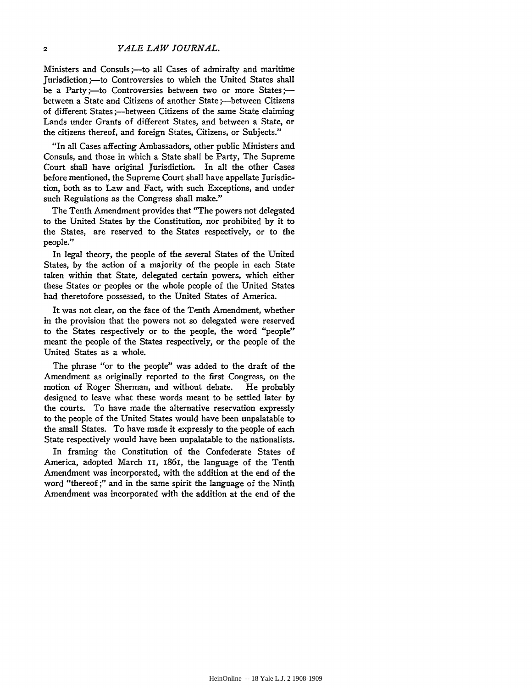Ministers and Consuls ;- to all Cases of admiralty and maritime Jurisdiction ;- to Controversies to which the United States shall be a Party *;*—to Controversies between two or more States ; between a State and Citizens of another State ;- between Citizens of different States;--between Citizens of the same State claiming Lands under Grants of different States, and between a State, or the citizens thereof, and foreign States, Citizens, or Subjects."

"In all Cases affecting Ambassadors, other public Ministers and Consuls, and those in which a State shall be Party, The Supreme Court shall have original Jurisdiction. In all the other Cases before mentioned, the Supreme Court shall have appellate Jurisdiction, both as to Law and Fact, with such Exceptions, and under such Regulations as the Congress shall make."

The Tenth Amendment provides that "The powers not delegated to the United States by the Constitution, nor prohibited by it to the States, are reserved to the States respectively, or to the people."

In legal theory, the people of the several States of the United States, by the action of a majority of the people in each State taken within that State, delegated certain powers, which either these States or peoples or the whole people of the United States had theretofore possessed, to the United States of America.

It was not clear, on the face of the Tenth Amendment, whether in the provision that the powers not so delegated were reserved to the States respectively or to the people, the word "people" meant the people of the States respectively, or the people of the United States as a whole.

The phrase "or to the people" was added to the draft of the Amendment as originally reported to the first Congress, on the motion of Roger Sherman, and without debate. He probably designed to leave what these words meant to be settled later by the courts. To have made the alternative reservation expressly to the people of the United States would have been unpalatable to the small States. To have made it expressly to the people of each State respectively would have been unpalatable to the nationalists.

In framing the Constitution of the Confederate States of America, adopted March **ii,** i86i, the language of the Tenth Amendment was incorporated, with the addition at the end of the word "thereof ;" and in the same spirit the language of the Ninth Amendment was incorporated with the addition at the end of the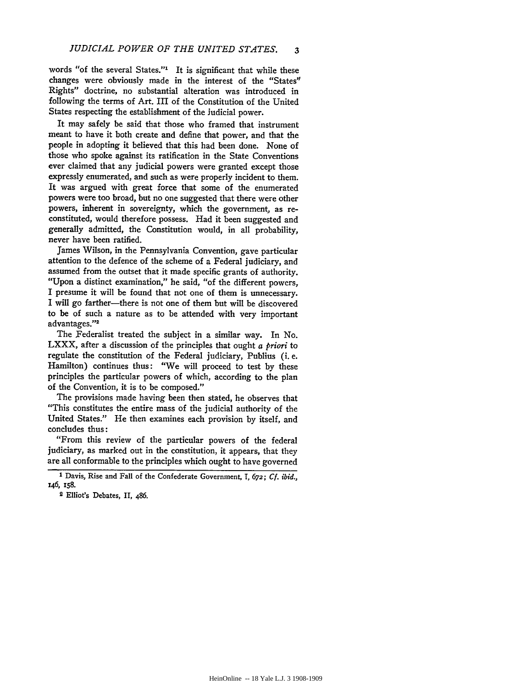words "of the several States."<sup>1</sup> It is significant that while these changes were obviously made in the interest of the "States" Rights" doctrine, no substantial alteration was introduced in following the terms of Art. III of the Constitution of the United States respecting the establishment of the judicial power.

It may safely be said that those who framed that instrument meant to have it both create and define that power, and that the people in adopting it believed that this had been done. None of those who spoke against its ratification in the State Conventions ever claimed that any judicial powers were granted except those expressly enumerated, and such as were properly incident to them. It was argued with great force that some of the enumerated powers were too broad, but no one suggested that there were other powers, inherent in sovereignty, which the government, as reconstituted, would therefore possess. Had it been suggested and generally admitted, the Constitution would, in all probability, never have been ratified.

James Wilson, in the Pennsylvania Convention, gave particular attention to the defence of the scheme of a Federal judiciary, and assumed from the outset that it made specific grants of authority. "Upon a distinct examination," he said, "of the different powers, I presume it will be found that not one of them is unnecessary. I will go farther-there is not one of them but will be discovered to be of such a nature as to be attended with very important advantages."<sup>2</sup>

The Federalist treated the subject in a similar way. In No. LXXX, after a discussion of the principles that ought *a priori* to regulate the constitution of the Federal judiciary, Publius (i. e. Hamilton) continues thus: "We will proceed to test by these principles the particular powers of which, according to the plan of the Convention, it is to be composed."

The provisions made having been then stated, he observes that "This constitutes the entire mass of the judicial authority of the United States." He then examines each provision by itself, and concludes thus:

"From this review of the particular powers of the federal judiciary, as marked out in the constitution, it appears, that they are all conformable to the principles which ought to have governed

**<sup>1</sup>** Davis, Rise and Fall of the Confederate Government, T, **672;** *Cf. ibid.,* 146, 158.

**<sup>2</sup>** Elliot's Debates, II, 486.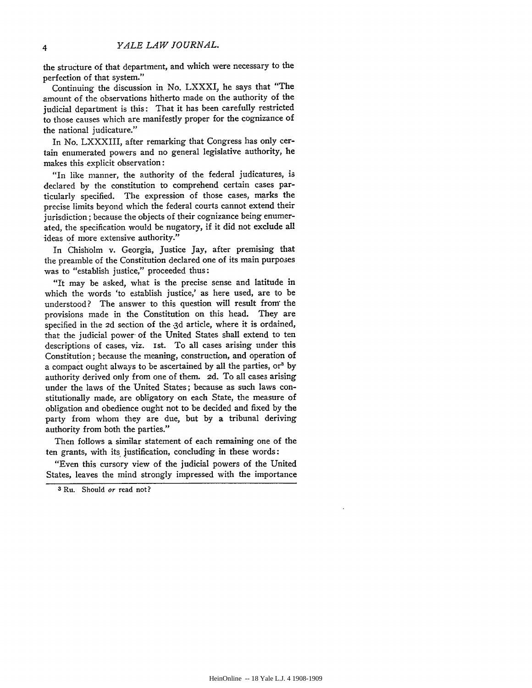the structure of that department, and which were necessary to the perfection of that system."

Continuing the discussion in No. LXXXI, he says that "The amount of the observations hitherto made on the authority of the judicial department is this: That it has been carefully restricted to those causes which are manifestly proper for the cognizance of the national judicature."

In No. LXXXIII, after remarking that Congress has only certain enumerated powers and no general legislative authority, he makes this explicit observation:

"In like manner, the authority of the federal judicatures, is declared **by** the constitution to comprehend certain cases particularly specified. The expression of those cases, marks the precise limits beyond which the federal courts cannot extend their jurisdiction; because the objects of their cognizance being enumerated, the specification would be nugatory, if it did not exclude all ideas of more extensive authority."

In Chisholm v. Georgia, Justice Jay, after premising that the preamble of the Constitution declared one of its main purposes was to "establish justice," proceeded thus:

"It may be asked, what is the precise sense and latitude in which the words 'to establish justice,' as here used, are to be understood? The answer to this question will result from" the provisions made in the Constitution on this head. They are specified in the 2d section of the **.3d** article, where it is ordained, that the judicial power- of the United States shall extend to ten descriptions of cases, viz. Ist. To all cases arising under this Constitution; because the meaning, construction, and operation of a compact ought always to be ascertained **by** all the parties, or <sup>3</sup>**by** authority derived only from one of them. *2d.* To all cases arising under the laws of the United States; because as such laws constitutionally made, are obligatory on each State, the measure of obligation and obedience ought not to be decided and fixed **by** the party from whom they are due, but **by** a tribunal deriving authority from both the parties."

Then follows a similar statement of each remaining one of the ten grants, with its justification, concluding in these words:

"Even this cursory view of the judicial powers of the United States, leaves the mind strongly impressed with the importance

<sup>3</sup> Ru. Should **or** read not?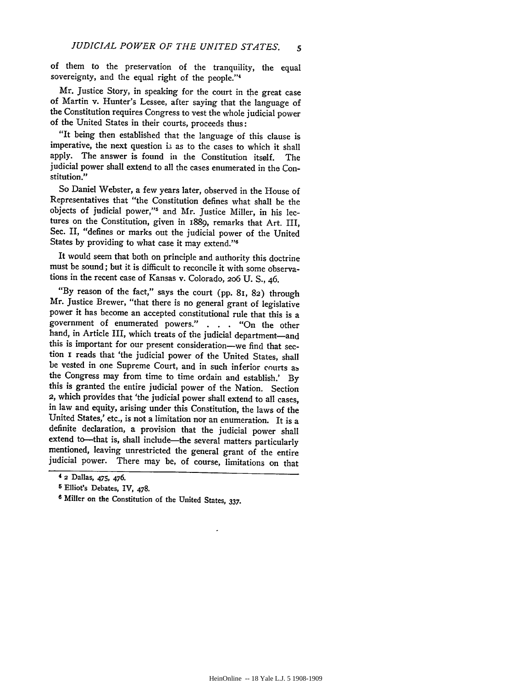of them to the preservation of the tranquility, the equal sovereignty, and the equal right of the people."<sup>4</sup>

Mr. Justice Story, in speaking for the court in the great case of Martin v. Hunter's Lessee, after saying that the language of the Constitution requires Congress to vest the whole judicial power of the United States in their courts, proceeds thus:

"It being then established that the language of this clause is imperative, the next question is as to the cases to which it shall apply. The answer is found in the Constitution itself. The judicial power shall extend to all the cases enumerated in the Constitution."

So Daniel Webster, a few years later, observed in the House of Representatives that "the Constitution defines what shall be the objects of judicial power,"<sup>5</sup> and Mr. Justice Miller, in his lectures on the Constitution, given in 1889, remarks that Art. III, Sec. II, "defines or marks out the judicial power of the United States by providing to what case it may extend."

It would seem that both on principle and authority this doctrine must be sound; but it is difficult to reconcile it with some observations in the recent case of Kansas v. Colorado, 206 U. S., 46.

"By reason of the fact," says the court (pp. 8I, 82) through Mr. Justice Brewer, "that there is no general grant of legislative power it has become an accepted constitutional rule that this is a government of enumerated powers." **. . .** "On the other hand, in Article III, which treats of the judicial department-and this is important for our present consideration-we find that section i reads that 'the judicial power of the United States, shall be vested in one Supreme Court, and in such inferior courts as the Congress may from time to time ordain and establish.' By this is granted the entire judicial power of the Nation. Section 2, which provides that 'the judicial power shall extend to all cases, in law and equity, arising under this Constitution, the laws of the United States,' etc., is not a limitation nor an enumeration. It is a definite declaration, a provision that the judicial power shall extend to-that is, shall include-the several matters particularly mentioned, leaving unrestricted the general grant of the entire judicial power. There may be, of course, limitations on that

**<sup>4</sup> 2** Dallas, 475, 476.

**<sup>5</sup>** Elliot's Debates, IV, 478.

Miller on the Constitution of the United States, **337.**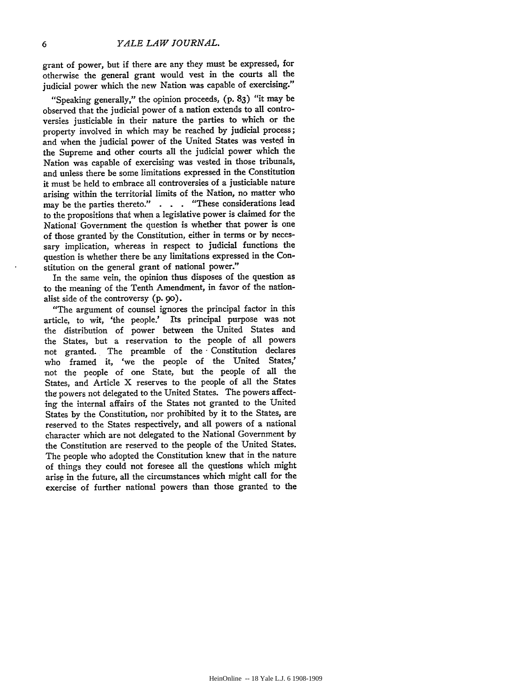grant of power, but if there are any they must be expressed, for otherwise the general grant would vest in the courts all the judicial power which the new Nation was capable of exercising."

"Speaking generally," the opinion proceeds, (p. **83)** "it may be observed that the judicial power of a nation extends to all controversies justiciable in their nature the parties to which or the property involved in which may be reached **by** judicial process; and when the judicial power of the United States was vested in the Supreme and other courts all the judicial power which the Nation was capable of exercising was vested in those tribunals, and unless there be some limitations expressed in the Constitution it must be held to embrace all controversies of a justiciable nature arising within the territorial limits of the Nation, no matter who may be the parties thereto." **. . .** "These considerations lead to the propositions that when a legislative power is claimed for the National Government the question is whether that power is one of those granted **by** the Constitution, either in terms or **by** necessary implication, whereas in respect to judicial functions the question is whether there be any limitations expressed in the Constitution on the general grant of national power."

In the same vein, the opinion thus disposes of the question as to the meaning of the Tenth Amendment, in favor of the nationalist side of the controversy **(p.** 9o).

"The argument of counsel ignores the principal factor in this article, to wit, 'the people.' Its principal purpose was not the distribution of power between the United States and the States, but a reservation to the people of all powers not granted. The preamble of the Constitution declares who framed it, *'we* the people of the United States,' not the people of one State, but the people of all the States, and Article X reserves to the people of all the States the powers not delegated to the United States. The powers affecting the internal affairs of the States not granted to the United States **by** the Constitution, nor prohibited **by** it to the States, are reserved to the States respectively, and all powers of a national character which are not delegated to the National Government **by** the Constitution are reserved to the people of the United States. The people who adopted the Constitution knew that in the nature of things they could not foresee all the questions which might arise in the future, all the circumstances which might call for the exercise of further national powers than those granted to the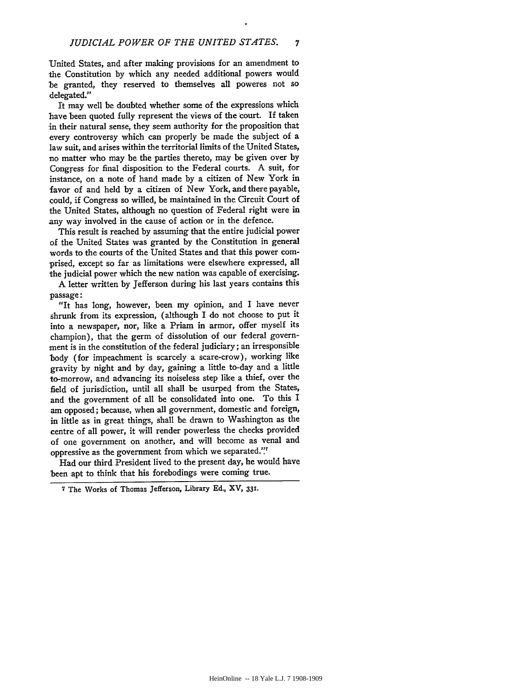United States, and after making provisions for an amendment to the Constitution by which any needed additional powers would be granted, they reserved to themselves all poweres not so delegated."

It may well be doubted whether some of the expressions which have been quoted fully represent the views of the court. If taken in their natural sense, they seem authority for the proposition that every controversy which can properly be made the subject of a law suit, and arises within the territorial limits of the United States, no matter who may be the parties thereto, may be given over by Congress for final disposition to the Federal courts. A suit, for instance, on a note of hand made by a citizen of New York in favor of and held by a citizen of New York, and there payable, could, if Congress so willed, be maintained in the Circuit Court of the United States, although no question of Federal right were in any way involved in the cause of action or in the defence.

This result is reached by assuming that the entire judicial power of the United States was granted by the Constitution in general words to the courts of the United States and that this power comprised, except so far as limitations were elsewhere expressed, all the judicial power which the new nation was capable of exercising.

A letter written by Jefferson during his last years contains this passage:

"It has long, however, been my opinion, and I have never shrunk from its expression, (although I do not choose to put it into a newspaper, nor, like a Priam in armor, offer myself its champion), that the germ of dissolution of our federal government is in the constitution of the federal judiciary; an irresponsible body (for impeachment is scarcely a scare-crow), working like gravity by night and by day, gaining a little to-day and a little to-morrow, and advancing its noiseless step like a thief, over the field of jurisdiction, until all shall be usurped from the States, and the government of all be consolidated into one. To this I am opposed; because, when all government, domestic and foreign, in little as in great things, shall be drawn to Washington as the centre of all power, it will render powerless the checks provided of one government on another, and will become as venal and oppressive as the government from which we separated."

Had our third President lived to the present day, he would have been apt to think that his forebodings were coming true.

<sup>7</sup>The Works of Thomas Jefferson, Library **Ed.,** XV, **331.**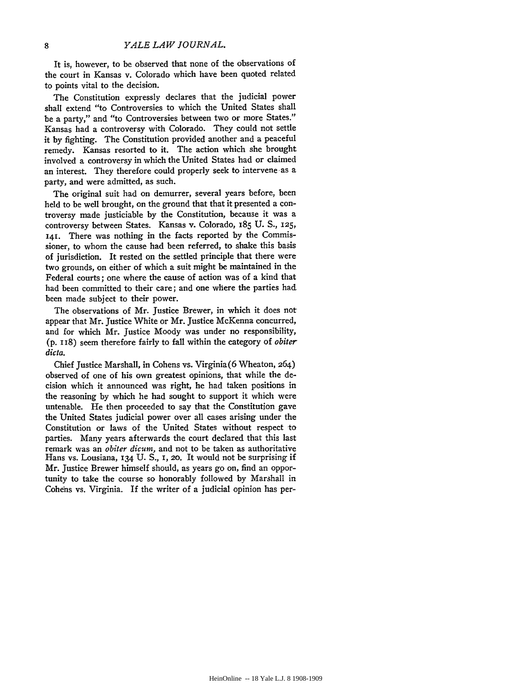It is, however, to be observed that none of the observations of the court in Kansas v. Colorado which have been quoted related to points vital to the decision.

The Constitution expressly declares that the judicial power shall extend "to Controversies to which the United States shall be a party," and "to Controversies between two or more States." Kansas had a controversy with Colorado. They could not settle it by fighting. The Constitution provided another and a peaceful remedy. Kansas resorted to it. The action which she brought involved a controversy in which the United States had or claimed an interest. They therefore could properly seek to intervene as a party, and were admitted, as such.

The original suit had on demurrer, several years before, been held to be well brought, on the ground that that it presented a controversy made justiciable by the Constitution, because it was a controversy between States. Kansas v. Colorado, 185 U. S., 125, 141. There was nothing in the facts reported by the Commissioner, to whom the cause had been referred, to shake this basis of jurisdiction. It rested on the settled principle that there were two grounds, on either of which a suit might be maintained in the Federal courts; one where the cause of action was of a kind that had been committed to their care; and one where the parties had been made subject to their power.

The observations of Mr. Justice Brewer, in which it does not appear that Mr. Justice White or Mr. Justice McKenna concurred, and for which Mr. Justice Moody was under no responsibility, (p. **I** i8) seem therefore fairly to fall within the category of *obiter dicta.*

Chief Justice Marshall, in Cohens vs. Virginia (6 Wheaton, 264) observed of one of his own greatest opinions, that while the decision which it announced was right, he had taken positions in the reasoning by which he had sought to support it which were untenable. He then proceeded to say that the Constitution gave the United States judicial power over all cases arising under the Constitution or laws of the United States without respect to parties. Many years afterwards the court declared that this last remark was an *obiter dicum,* and not to be taken as authoritative Hans vs. Lousiana, **134** U. S., **I, 20.** It would not be surprising if Mr. Justice Brewer himself should, as years go on, find an opportunity to take the course so honorably followed by Marshall in Cohens vs. Virginia. If the writer of a judicial opinion has per-